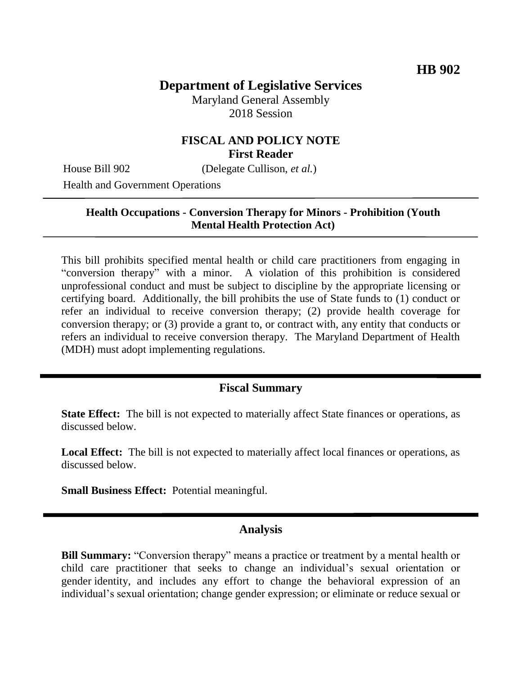# **Department of Legislative Services**

Maryland General Assembly 2018 Session

## **FISCAL AND POLICY NOTE First Reader**

House Bill 902 (Delegate Cullison, *et al.*)

Health and Government Operations

#### **Health Occupations - Conversion Therapy for Minors - Prohibition (Youth Mental Health Protection Act)**

This bill prohibits specified mental health or child care practitioners from engaging in "conversion therapy" with a minor. A violation of this prohibition is considered unprofessional conduct and must be subject to discipline by the appropriate licensing or certifying board. Additionally, the bill prohibits the use of State funds to (1) conduct or refer an individual to receive conversion therapy; (2) provide health coverage for conversion therapy; or (3) provide a grant to, or contract with, any entity that conducts or refers an individual to receive conversion therapy. The Maryland Department of Health (MDH) must adopt implementing regulations.

### **Fiscal Summary**

**State Effect:** The bill is not expected to materially affect State finances or operations, as discussed below.

**Local Effect:** The bill is not expected to materially affect local finances or operations, as discussed below.

**Small Business Effect:** Potential meaningful.

### **Analysis**

**Bill Summary:** "Conversion therapy" means a practice or treatment by a mental health or child care practitioner that seeks to change an individual's sexual orientation or gender identity, and includes any effort to change the behavioral expression of an individual's sexual orientation; change gender expression; or eliminate or reduce sexual or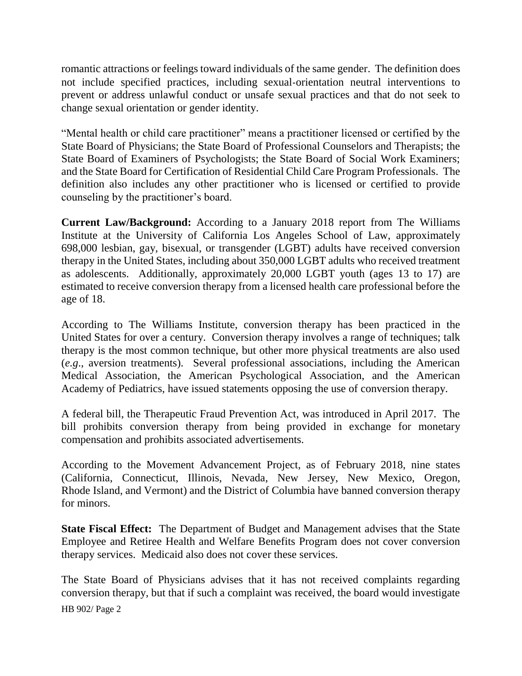romantic attractions or feelings toward individuals of the same gender. The definition does not include specified practices, including sexual-orientation neutral interventions to prevent or address unlawful conduct or unsafe sexual practices and that do not seek to change sexual orientation or gender identity.

"Mental health or child care practitioner" means a practitioner licensed or certified by the State Board of Physicians; the State Board of Professional Counselors and Therapists; the State Board of Examiners of Psychologists; the State Board of Social Work Examiners; and the State Board for Certification of Residential Child Care Program Professionals. The definition also includes any other practitioner who is licensed or certified to provide counseling by the practitioner's board.

**Current Law/Background:** According to a January 2018 report from The Williams Institute at the University of California Los Angeles School of Law, approximately 698,000 lesbian, gay, bisexual, or transgender (LGBT) adults have received conversion therapy in the United States, including about 350,000 LGBT adults who received treatment as adolescents. Additionally, approximately 20,000 LGBT youth (ages 13 to 17) are estimated to receive conversion therapy from a licensed health care professional before the age of 18.

According to The Williams Institute, conversion therapy has been practiced in the United States for over a century. Conversion therapy involves a range of techniques; talk therapy is the most common technique, but other more physical treatments are also used (*e.g*., aversion treatments). Several professional associations, including the American Medical Association, the American Psychological Association, and the American Academy of Pediatrics, have issued statements opposing the use of conversion therapy.

A federal bill, the Therapeutic Fraud Prevention Act, was introduced in April 2017. The bill prohibits conversion therapy from being provided in exchange for monetary compensation and prohibits associated advertisements.

According to the Movement Advancement Project, as of February 2018, nine states (California, Connecticut, Illinois, Nevada, New Jersey, New Mexico, Oregon, Rhode Island, and Vermont) and the District of Columbia have banned conversion therapy for minors.

**State Fiscal Effect:** The Department of Budget and Management advises that the State Employee and Retiree Health and Welfare Benefits Program does not cover conversion therapy services. Medicaid also does not cover these services.

The State Board of Physicians advises that it has not received complaints regarding conversion therapy, but that if such a complaint was received, the board would investigate

HB 902/ Page 2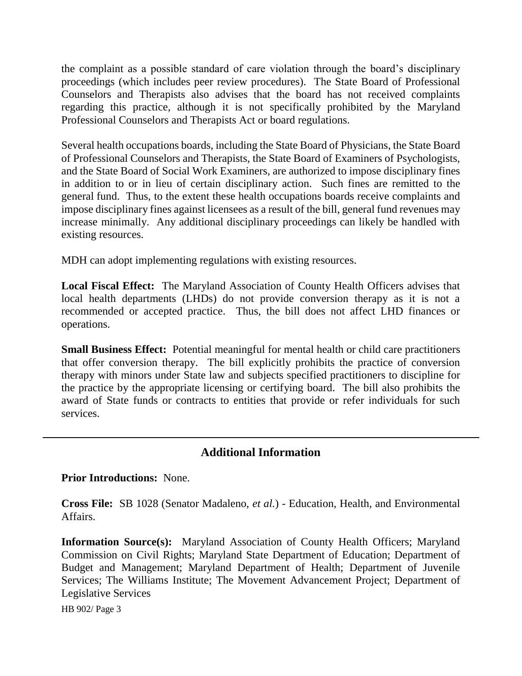the complaint as a possible standard of care violation through the board's disciplinary proceedings (which includes peer review procedures). The State Board of Professional Counselors and Therapists also advises that the board has not received complaints regarding this practice, although it is not specifically prohibited by the Maryland Professional Counselors and Therapists Act or board regulations.

Several health occupations boards, including the State Board of Physicians, the State Board of Professional Counselors and Therapists, the State Board of Examiners of Psychologists, and the State Board of Social Work Examiners, are authorized to impose disciplinary fines in addition to or in lieu of certain disciplinary action. Such fines are remitted to the general fund. Thus, to the extent these health occupations boards receive complaints and impose disciplinary fines against licensees as a result of the bill, general fund revenues may increase minimally. Any additional disciplinary proceedings can likely be handled with existing resources.

MDH can adopt implementing regulations with existing resources.

**Local Fiscal Effect:** The Maryland Association of County Health Officers advises that local health departments (LHDs) do not provide conversion therapy as it is not a recommended or accepted practice. Thus, the bill does not affect LHD finances or operations.

**Small Business Effect:** Potential meaningful for mental health or child care practitioners that offer conversion therapy. The bill explicitly prohibits the practice of conversion therapy with minors under State law and subjects specified practitioners to discipline for the practice by the appropriate licensing or certifying board. The bill also prohibits the award of State funds or contracts to entities that provide or refer individuals for such services.

## **Additional Information**

#### **Prior Introductions:** None.

**Cross File:** SB 1028 (Senator Madaleno, *et al.*) - Education, Health, and Environmental Affairs.

**Information Source(s):** Maryland Association of County Health Officers; Maryland Commission on Civil Rights; Maryland State Department of Education; Department of Budget and Management; Maryland Department of Health; Department of Juvenile Services; The Williams Institute; The Movement Advancement Project; Department of Legislative Services

HB 902/ Page 3